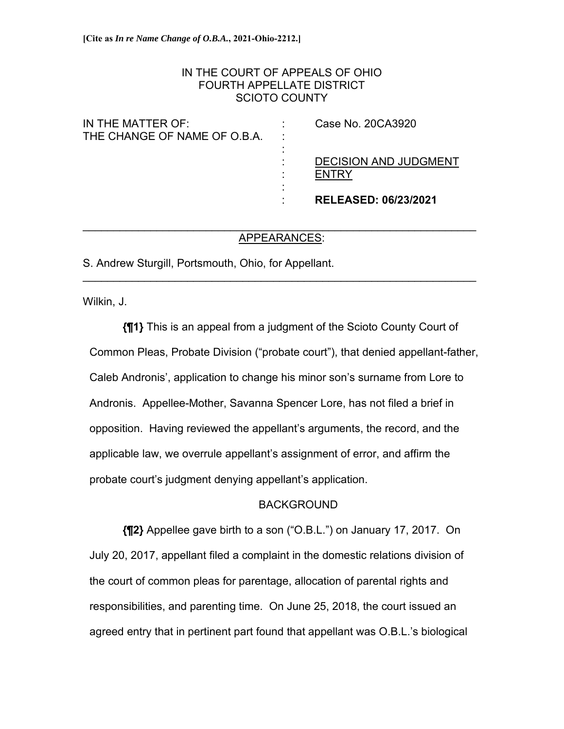# IN THE COURT OF APPEALS OF OHIO FOURTH APPELLATE DISTRICT SCIOTO COUNTY

|                              | <b>RELEASED: 06/23/2021</b>  |
|------------------------------|------------------------------|
|                              |                              |
|                              | <b>FNTRY</b>                 |
|                              | <b>DECISION AND JUDGMENT</b> |
|                              |                              |
| THE CHANGE OF NAME OF O.B.A. |                              |
| IN THE MATTER OF:            | Case No. 20CA3920            |

### $\mathcal{L}_\text{max}$  , and the contribution of the contribution of the contribution of the contribution of the contribution of the contribution of the contribution of the contribution of the contribution of the contribution of t APPEARANCES:

 $\mathcal{L}_\text{max}$  , and the contribution of the contribution of the contribution of the contribution of the contribution of the contribution of the contribution of the contribution of the contribution of the contribution of t

S. Andrew Sturgill, Portsmouth, Ohio, for Appellant.

Wilkin, J.

**{¶1}** This is an appeal from a judgment of the Scioto County Court of Common Pleas, Probate Division ("probate court"), that denied appellant-father, Caleb Andronis', application to change his minor son's surname from Lore to Andronis. Appellee-Mother, Savanna Spencer Lore, has not filed a brief in opposition. Having reviewed the appellant's arguments, the record, and the applicable law, we overrule appellant's assignment of error, and affirm the probate court's judgment denying appellant's application.

# BACKGROUND

**{¶2}** Appellee gave birth to a son ("O.B.L.") on January 17, 2017. On July 20, 2017, appellant filed a complaint in the domestic relations division of the court of common pleas for parentage, allocation of parental rights and responsibilities, and parenting time. On June 25, 2018, the court issued an agreed entry that in pertinent part found that appellant was O.B.L.'s biological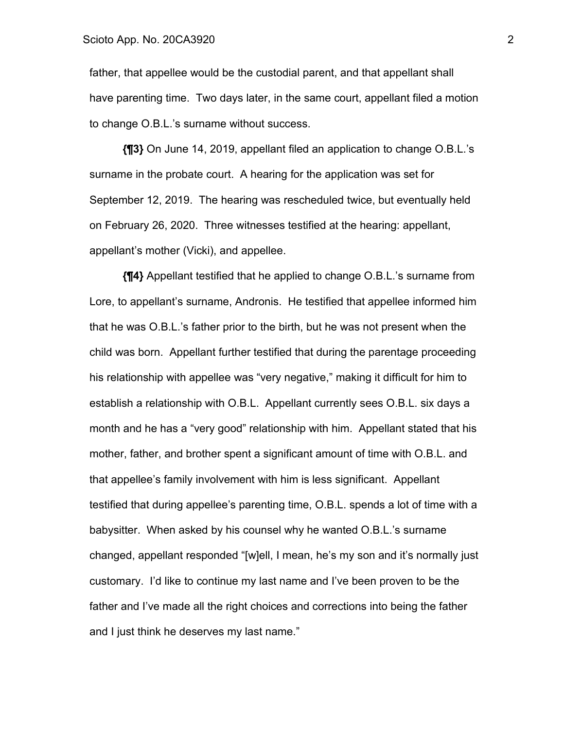father, that appellee would be the custodial parent, and that appellant shall have parenting time. Two days later, in the same court, appellant filed a motion to change O.B.L.'s surname without success.

**{¶3}** On June 14, 2019, appellant filed an application to change O.B.L.'s surname in the probate court. A hearing for the application was set for September 12, 2019. The hearing was rescheduled twice, but eventually held on February 26, 2020. Three witnesses testified at the hearing: appellant, appellant's mother (Vicki), and appellee.

**{¶4}** Appellant testified that he applied to change O.B.L.'s surname from Lore, to appellant's surname, Andronis. He testified that appellee informed him that he was O.B.L.'s father prior to the birth, but he was not present when the child was born. Appellant further testified that during the parentage proceeding his relationship with appellee was "very negative," making it difficult for him to establish a relationship with O.B.L. Appellant currently sees O.B.L. six days a month and he has a "very good" relationship with him. Appellant stated that his mother, father, and brother spent a significant amount of time with O.B.L. and that appellee's family involvement with him is less significant. Appellant testified that during appellee's parenting time, O.B.L. spends a lot of time with a babysitter. When asked by his counsel why he wanted O.B.L.'s surname changed, appellant responded "[w]ell, I mean, he's my son and it's normally just customary. I'd like to continue my last name and I've been proven to be the father and I've made all the right choices and corrections into being the father and I just think he deserves my last name."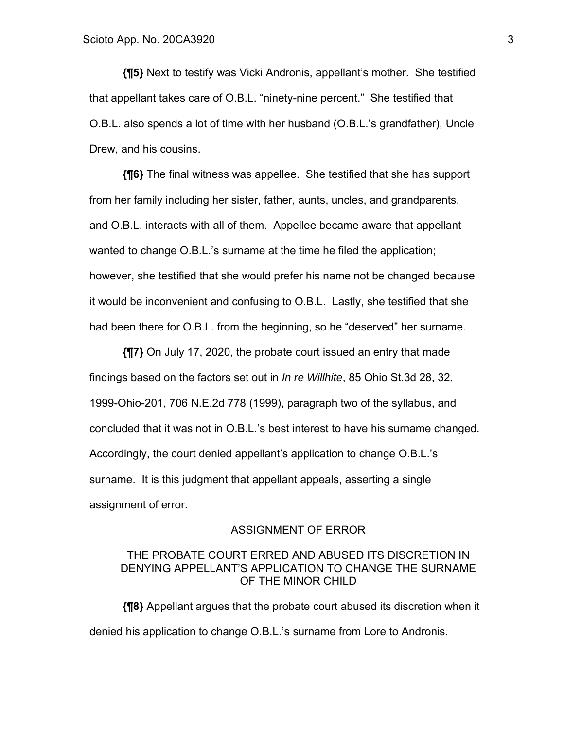**{¶5}** Next to testify was Vicki Andronis, appellant's mother. She testified that appellant takes care of O.B.L. "ninety-nine percent." She testified that O.B.L. also spends a lot of time with her husband (O.B.L.'s grandfather), Uncle Drew, and his cousins.

**{¶6}** The final witness was appellee. She testified that she has support from her family including her sister, father, aunts, uncles, and grandparents, and O.B.L. interacts with all of them. Appellee became aware that appellant wanted to change O.B.L.'s surname at the time he filed the application; however, she testified that she would prefer his name not be changed because it would be inconvenient and confusing to O.B.L. Lastly, she testified that she had been there for O.B.L. from the beginning, so he "deserved" her surname.

**{¶7}** On July 17, 2020, the probate court issued an entry that made findings based on the factors set out in *In re Willhite*, 85 Ohio St.3d 28, 32, 1999-Ohio-201, 706 N.E.2d 778 (1999), paragraph two of the syllabus, and concluded that it was not in O.B.L.'s best interest to have his surname changed. Accordingly, the court denied appellant's application to change O.B.L.'s surname. It is this judgment that appellant appeals, asserting a single assignment of error.

#### ASSIGNMENT OF ERROR

### THE PROBATE COURT ERRED AND ABUSED ITS DISCRETION IN DENYING APPELLANT'S APPLICATION TO CHANGE THE SURNAME OF THE MINOR CHILD

**{¶8}** Appellant argues that the probate court abused its discretion when it denied his application to change O.B.L.'s surname from Lore to Andronis.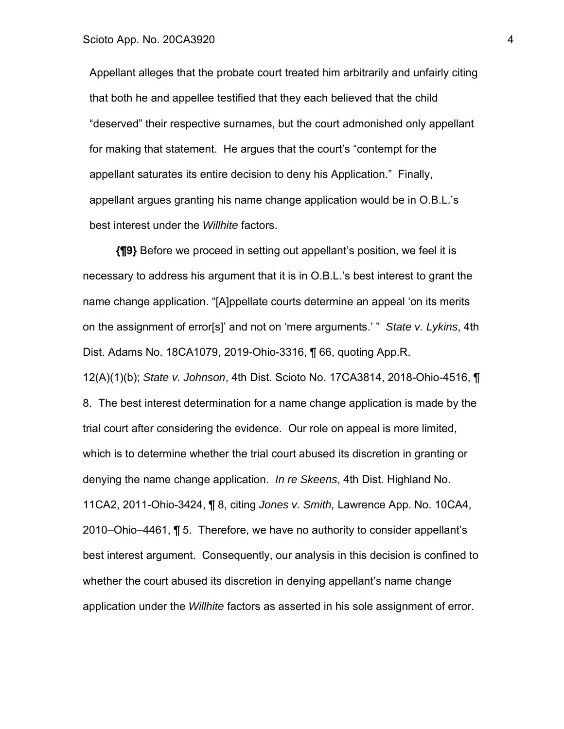Appellant alleges that the probate court treated him arbitrarily and unfairly citing that both he and appellee testified that they each believed that the child "deserved" their respective surnames, but the court admonished only appellant for making that statement. He argues that the court's "contempt for the appellant saturates its entire decision to deny his Application." Finally, appellant argues granting his name change application would be in O.B.L.'s best interest under the *Willhite* factors.

**{¶9}** Before we proceed in setting out appellant's position, we feel it is necessary to address his argument that it is in O.B.L.'s best interest to grant the name change application. "[A]ppellate courts determine an appeal 'on its merits on the assignment of error[s]' and not on 'mere arguments.' " *State v. Lykins*, 4th Dist. Adams No. 18CA1079, 2019-Ohio-3316, ¶ 66, quoting App.R. 12(A)(1)(b); *State v. Johnson*, 4th Dist. Scioto No. 17CA3814, 2018-Ohio-4516, ¶ 8. The best interest determination for a name change application is made by the trial court after considering the evidence. Our role on appeal is more limited, which is to determine whether the trial court abused its discretion in granting or denying the name change application. *In re Skeens*, 4th Dist. Highland No. 11CA2, 2011-Ohio-3424, ¶ 8, citing *Jones v. Smith,* Lawrence App. No. 10CA4, 2010–Ohio–4461, ¶ 5. Therefore, we have no authority to consider appellant's best interest argument. Consequently, our analysis in this decision is confined to whether the court abused its discretion in denying appellant's name change application under the *Willhite* factors as asserted in his sole assignment of error.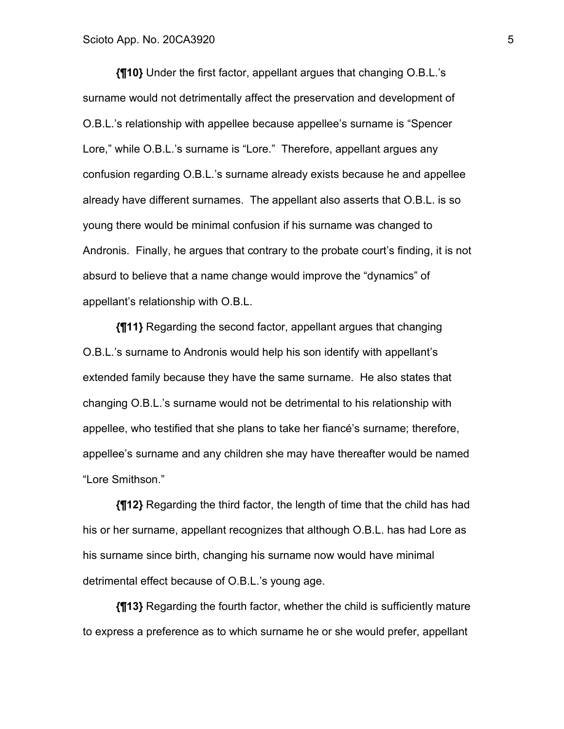**{¶10}** Under the first factor, appellant argues that changing O.B.L.'s surname would not detrimentally affect the preservation and development of O.B.L.'s relationship with appellee because appellee's surname is "Spencer Lore," while O.B.L.'s surname is "Lore." Therefore, appellant argues any confusion regarding O.B.L.'s surname already exists because he and appellee already have different surnames. The appellant also asserts that O.B.L. is so young there would be minimal confusion if his surname was changed to Andronis. Finally, he argues that contrary to the probate court's finding, it is not absurd to believe that a name change would improve the "dynamics" of appellant's relationship with O.B.L.

**{¶11}** Regarding the second factor, appellant argues that changing O.B.L.'s surname to Andronis would help his son identify with appellant's extended family because they have the same surname. He also states that changing O.B.L.'s surname would not be detrimental to his relationship with appellee, who testified that she plans to take her fiancé's surname; therefore, appellee's surname and any children she may have thereafter would be named "Lore Smithson."

**{¶12}** Regarding the third factor, the length of time that the child has had his or her surname, appellant recognizes that although O.B.L. has had Lore as his surname since birth, changing his surname now would have minimal detrimental effect because of O.B.L.'s young age.

**{¶13}** Regarding the fourth factor, whether the child is sufficiently mature to express a preference as to which surname he or she would prefer, appellant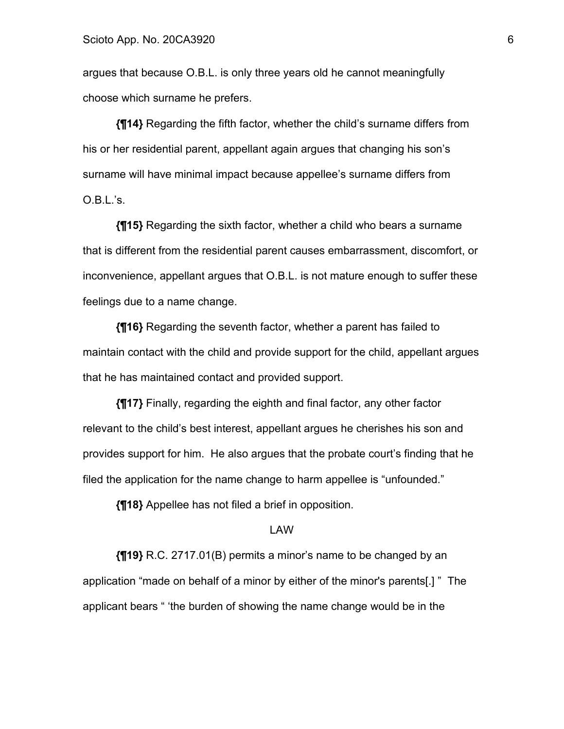argues that because O.B.L. is only three years old he cannot meaningfully choose which surname he prefers.

**{¶14}** Regarding the fifth factor, whether the child's surname differs from his or her residential parent, appellant again argues that changing his son's surname will have minimal impact because appellee's surname differs from O.B.L.'s.

**{¶15}** Regarding the sixth factor, whether a child who bears a surname that is different from the residential parent causes embarrassment, discomfort, or inconvenience, appellant argues that O.B.L. is not mature enough to suffer these feelings due to a name change.

**{¶16}** Regarding the seventh factor, whether a parent has failed to maintain contact with the child and provide support for the child, appellant argues that he has maintained contact and provided support.

**{¶17}** Finally, regarding the eighth and final factor, any other factor relevant to the child's best interest, appellant argues he cherishes his son and provides support for him. He also argues that the probate court's finding that he filed the application for the name change to harm appellee is "unfounded."

**{¶18}** Appellee has not filed a brief in opposition.

#### LAW

**{¶19}** R.C. 2717.01(B) permits a minor's name to be changed by an application "made on behalf of a minor by either of the minor's parents[.] " The applicant bears " 'the burden of showing the name change would be in the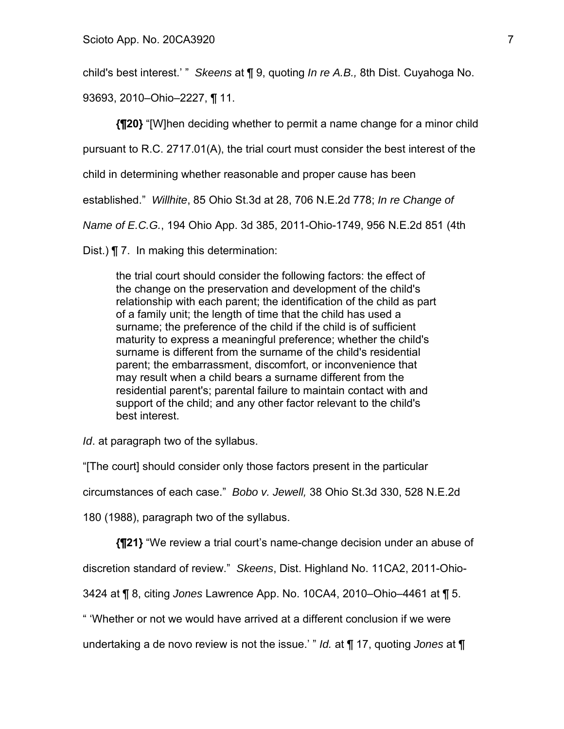child's best interest.' " *Skeens* at ¶ 9, quoting *In re A.B.,* 8th Dist. Cuyahoga No.

93693, 2010–Ohio–2227, ¶ 11.

**{¶20}** "[W]hen deciding whether to permit a name change for a minor child

pursuant to R.C. 2717.01(A), the trial court must consider the best interest of the

child in determining whether reasonable and proper cause has been

established." *Willhite*, 85 Ohio St.3d at 28, 706 N.E.2d 778; *In re Change of* 

*Name of E.C.G.*, 194 Ohio App. 3d 385, 2011-Ohio-1749, 956 N.E.2d 851 (4th

Dist.) ¶ 7. In making this determination:

the trial court should consider the following factors: the effect of the change on the preservation and development of the child's relationship with each parent; the identification of the child as part of a family unit; the length of time that the child has used a surname; the preference of the child if the child is of sufficient maturity to express a meaningful preference; whether the child's surname is different from the surname of the child's residential parent; the embarrassment, discomfort, or inconvenience that may result when a child bears a surname different from the residential parent's; parental failure to maintain contact with and support of the child; and any other factor relevant to the child's best interest.

*Id*. at paragraph two of the syllabus.

"[The court] should consider only those factors present in the particular

circumstances of each case." *Bobo v. Jewell,* 38 Ohio St.3d 330, 528 N.E.2d

180 (1988), paragraph two of the syllabus.

**{¶21}** "We review a trial court's name-change decision under an abuse of

discretion standard of review." *Skeens*, Dist. Highland No. 11CA2, 2011-Ohio-

3424 at ¶ 8, citing *Jones* Lawrence App. No. 10CA4, 2010–Ohio–4461 at ¶ 5.

" 'Whether or not we would have arrived at a different conclusion if we were

undertaking a de novo review is not the issue.' " *Id.* at ¶ 17, quoting *Jones* at ¶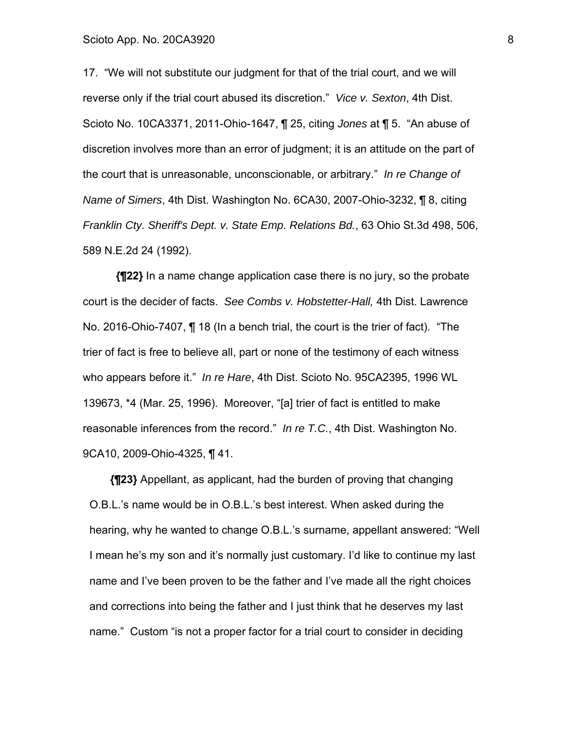17. "We will not substitute our judgment for that of the trial court, and we will reverse only if the trial court abused its discretion." *Vice v. Sexton*, 4th Dist. Scioto No. 10CA3371, 2011-Ohio-1647, ¶ 25, citing *Jones* at ¶ 5. "An abuse of discretion involves more than an error of judgment; it is an attitude on the part of the court that is unreasonable, unconscionable, or arbitrary." *In re Change of Name of Simers*, 4th Dist. Washington No. 6CA30, 2007-Ohio-3232, ¶ 8, citing *Franklin Cty. Sheriff's Dept. v. State Emp. Relations Bd.*, 63 Ohio St.3d 498, 506, 589 N.E.2d 24 (1992).

**{¶22}** In a name change application case there is no jury, so the probate court is the decider of facts. *See Combs v. Hobstetter-Hall,* 4th Dist. Lawrence No. 2016-Ohio-7407, ¶ 18 (In a bench trial, the court is the trier of fact). "The trier of fact is free to believe all, part or none of the testimony of each witness who appears before it." *In re Hare*, 4th Dist. Scioto No. 95CA2395, 1996 WL 139673, \*4 (Mar. 25, 1996). Moreover, "[a] trier of fact is entitled to make reasonable inferences from the record." *In re T.C.*, 4th Dist. Washington No. 9CA10, 2009-Ohio-4325, ¶ 41.

**{¶23}** Appellant, as applicant, had the burden of proving that changing O.B.L.'s name would be in O.B.L.'s best interest. When asked during the hearing, why he wanted to change O.B.L.'s surname, appellant answered: "Well I mean he's my son and it's normally just customary. I'd like to continue my last name and I've been proven to be the father and I've made all the right choices and corrections into being the father and I just think that he deserves my last name." Custom "is not a proper factor for a trial court to consider in deciding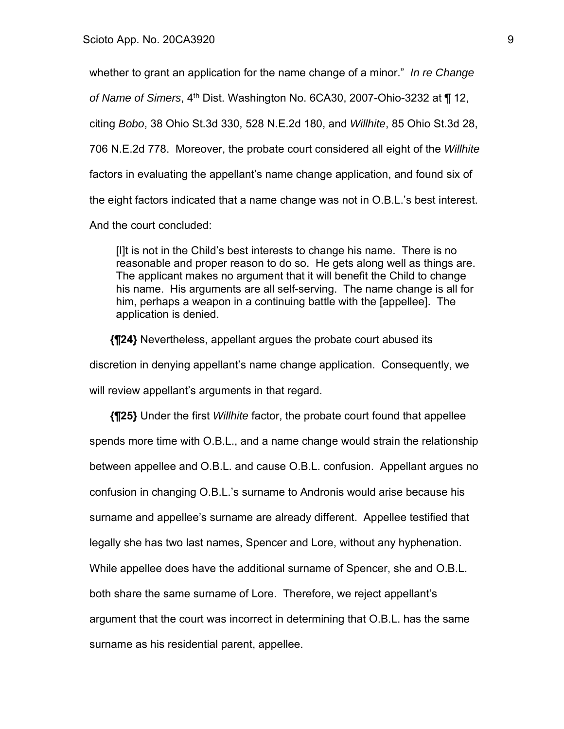whether to grant an application for the name change of a minor." *In re Change of Name of Simers*, 4th Dist. Washington No. 6CA30, 2007-Ohio-3232 at ¶ 12, citing *Bobo*, 38 Ohio St.3d 330, 528 N.E.2d 180, and *Willhite*, 85 Ohio St.3d 28, 706 N.E.2d 778. Moreover, the probate court considered all eight of the *Willhite* factors in evaluating the appellant's name change application, and found six of the eight factors indicated that a name change was not in O.B.L.'s best interest. And the court concluded:

[I]t is not in the Child's best interests to change his name. There is no reasonable and proper reason to do so. He gets along well as things are. The applicant makes no argument that it will benefit the Child to change his name. His arguments are all self-serving. The name change is all for him, perhaps a weapon in a continuing battle with the [appellee]. The application is denied.

**{¶24}** Nevertheless, appellant argues the probate court abused its discretion in denying appellant's name change application. Consequently, we will review appellant's arguments in that regard.

**{¶25}** Under the first *Willhite* factor, the probate court found that appellee spends more time with O.B.L., and a name change would strain the relationship between appellee and O.B.L. and cause O.B.L. confusion. Appellant argues no confusion in changing O.B.L.'s surname to Andronis would arise because his surname and appellee's surname are already different. Appellee testified that legally she has two last names, Spencer and Lore, without any hyphenation. While appellee does have the additional surname of Spencer, she and O.B.L. both share the same surname of Lore. Therefore, we reject appellant's argument that the court was incorrect in determining that O.B.L. has the same surname as his residential parent, appellee.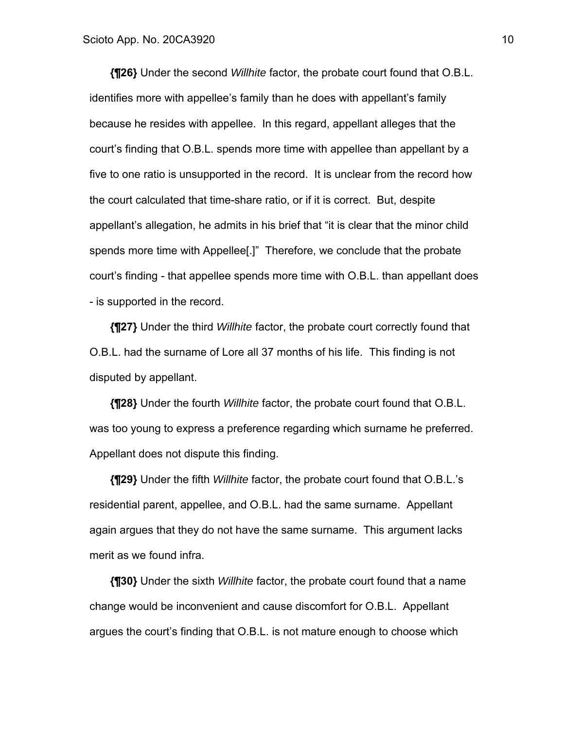**{¶26}** Under the second *Willhite* factor, the probate court found that O.B.L. identifies more with appellee's family than he does with appellant's family because he resides with appellee. In this regard, appellant alleges that the court's finding that O.B.L. spends more time with appellee than appellant by a five to one ratio is unsupported in the record. It is unclear from the record how the court calculated that time-share ratio, or if it is correct. But, despite appellant's allegation, he admits in his brief that "it is clear that the minor child spends more time with Appellee[.]" Therefore, we conclude that the probate court's finding - that appellee spends more time with O.B.L. than appellant does - is supported in the record.

**{¶27}** Under the third *Willhite* factor, the probate court correctly found that O.B.L. had the surname of Lore all 37 months of his life. This finding is not disputed by appellant.

**{¶28}** Under the fourth *Willhite* factor, the probate court found that O.B.L. was too young to express a preference regarding which surname he preferred. Appellant does not dispute this finding.

**{¶29}** Under the fifth *Willhite* factor, the probate court found that O.B.L.'s residential parent, appellee, and O.B.L. had the same surname. Appellant again argues that they do not have the same surname. This argument lacks merit as we found infra.

**{¶30}** Under the sixth *Willhite* factor, the probate court found that a name change would be inconvenient and cause discomfort for O.B.L. Appellant argues the court's finding that O.B.L. is not mature enough to choose which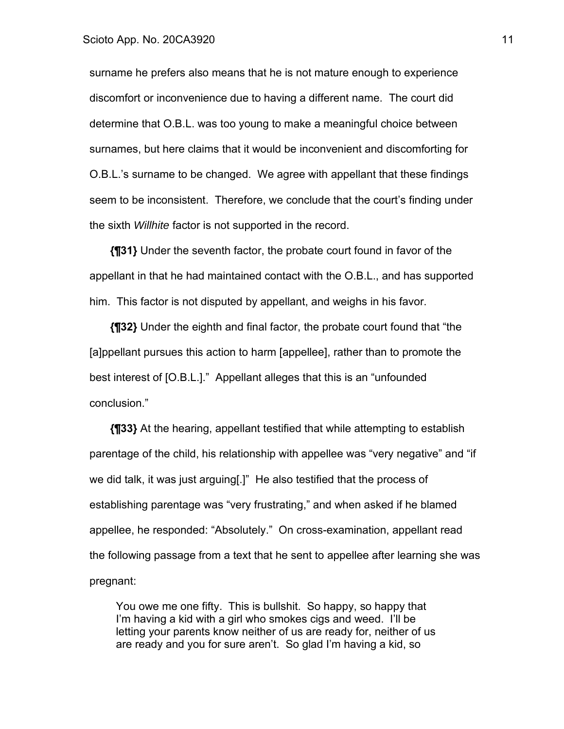surname he prefers also means that he is not mature enough to experience discomfort or inconvenience due to having a different name. The court did determine that O.B.L. was too young to make a meaningful choice between surnames, but here claims that it would be inconvenient and discomforting for O.B.L.'s surname to be changed. We agree with appellant that these findings seem to be inconsistent. Therefore, we conclude that the court's finding under the sixth *Willhite* factor is not supported in the record.

**{¶31}** Under the seventh factor, the probate court found in favor of the appellant in that he had maintained contact with the O.B.L., and has supported him. This factor is not disputed by appellant, and weighs in his favor.

**{¶32}** Under the eighth and final factor, the probate court found that "the [a]ppellant pursues this action to harm [appellee], rather than to promote the best interest of [O.B.L.]." Appellant alleges that this is an "unfounded conclusion."

**{¶33}** At the hearing, appellant testified that while attempting to establish parentage of the child, his relationship with appellee was "very negative" and "if we did talk, it was just arguing[.]" He also testified that the process of establishing parentage was "very frustrating," and when asked if he blamed appellee, he responded: "Absolutely." On cross-examination, appellant read the following passage from a text that he sent to appellee after learning she was pregnant:

You owe me one fifty. This is bullshit. So happy, so happy that I'm having a kid with a girl who smokes cigs and weed. I'll be letting your parents know neither of us are ready for, neither of us are ready and you for sure aren't. So glad I'm having a kid, so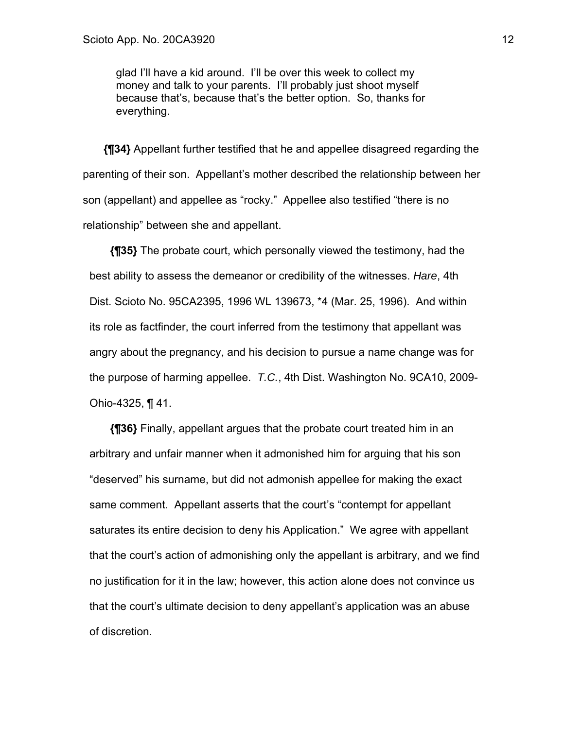glad I'll have a kid around. I'll be over this week to collect my money and talk to your parents. I'll probably just shoot myself because that's, because that's the better option. So, thanks for everything.

**{¶34}** Appellant further testified that he and appellee disagreed regarding the parenting of their son. Appellant's mother described the relationship between her son (appellant) and appellee as "rocky." Appellee also testified "there is no relationship" between she and appellant.

**{¶35}** The probate court, which personally viewed the testimony, had the best ability to assess the demeanor or credibility of the witnesses. *Hare*, 4th Dist. Scioto No. 95CA2395, 1996 WL 139673, \*4 (Mar. 25, 1996). And within its role as factfinder, the court inferred from the testimony that appellant was angry about the pregnancy, and his decision to pursue a name change was for the purpose of harming appellee. *T.C.*, 4th Dist. Washington No. 9CA10, 2009- Ohio-4325, ¶ 41.

**{¶36}** Finally, appellant argues that the probate court treated him in an arbitrary and unfair manner when it admonished him for arguing that his son "deserved" his surname, but did not admonish appellee for making the exact same comment. Appellant asserts that the court's "contempt for appellant saturates its entire decision to deny his Application." We agree with appellant that the court's action of admonishing only the appellant is arbitrary, and we find no justification for it in the law; however, this action alone does not convince us that the court's ultimate decision to deny appellant's application was an abuse of discretion.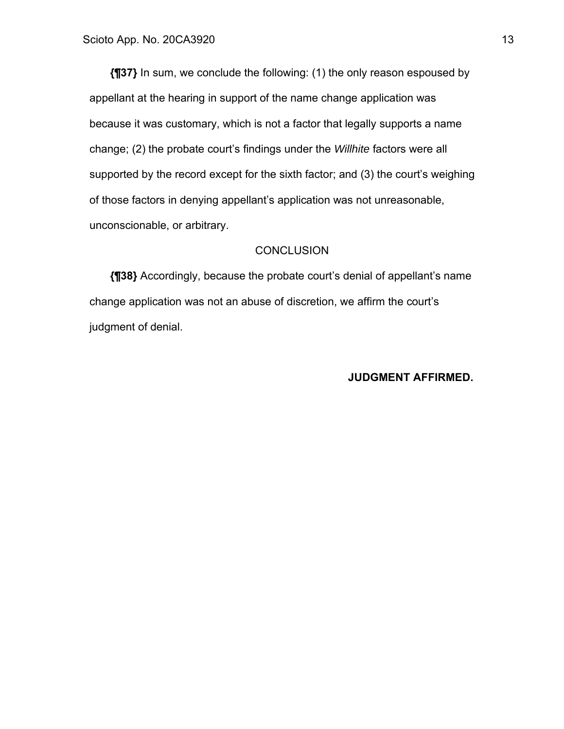**{¶37}** In sum, we conclude the following: (1) the only reason espoused by appellant at the hearing in support of the name change application was because it was customary, which is not a factor that legally supports a name change; (2) the probate court's findings under the *Willhite* factors were all supported by the record except for the sixth factor; and (3) the court's weighing of those factors in denying appellant's application was not unreasonable, unconscionable, or arbitrary.

### **CONCLUSION**

**{¶38}** Accordingly, because the probate court's denial of appellant's name change application was not an abuse of discretion, we affirm the court's judgment of denial.

### **JUDGMENT AFFIRMED.**